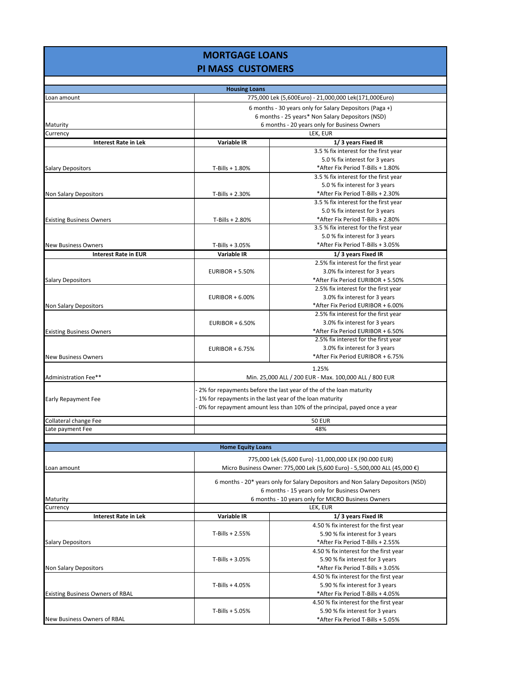## **MORTGAGE LOANS PI MASS CUSTOMERS**

| <b>Housing Loans</b>                    |                                                                                                                                                                                                            |                                                       |  |  |
|-----------------------------------------|------------------------------------------------------------------------------------------------------------------------------------------------------------------------------------------------------------|-------------------------------------------------------|--|--|
| Loan amount                             |                                                                                                                                                                                                            | 775,000 Lek (5,600Euro) - 21,000,000 Lek(171,000Euro) |  |  |
|                                         | 6 months - 30 years only for Salary Depositors (Paga +)                                                                                                                                                    |                                                       |  |  |
|                                         | 6 months - 25 years* Non Salary Depositors (NSD)                                                                                                                                                           |                                                       |  |  |
| Maturity                                | 6 months - 20 years only for Business Owners                                                                                                                                                               |                                                       |  |  |
| Currency                                | LEK, EUR                                                                                                                                                                                                   |                                                       |  |  |
| <b>Interest Rate in Lek</b>             | Variable IR                                                                                                                                                                                                | 1/3 years Fixed IR                                    |  |  |
|                                         |                                                                                                                                                                                                            | 3.5 % fix interest for the first year                 |  |  |
|                                         |                                                                                                                                                                                                            | 5.0 % fix interest for 3 years                        |  |  |
| <b>Salary Depositors</b>                | T-Bills + 1.80%                                                                                                                                                                                            | *After Fix Period T-Bills + 1.80%                     |  |  |
|                                         |                                                                                                                                                                                                            | 3.5 % fix interest for the first year                 |  |  |
|                                         |                                                                                                                                                                                                            | 5.0 % fix interest for 3 years                        |  |  |
| Non Salary Depositors                   | $T-Bills + 2.30%$                                                                                                                                                                                          | *After Fix Period T-Bills + 2.30%                     |  |  |
|                                         |                                                                                                                                                                                                            | 3.5 % fix interest for the first year                 |  |  |
|                                         |                                                                                                                                                                                                            | 5.0 % fix interest for 3 years                        |  |  |
| <b>Existing Business Owners</b>         | $T-Bills + 2.80%$                                                                                                                                                                                          | *After Fix Period T-Bills + 2.80%                     |  |  |
|                                         |                                                                                                                                                                                                            | 3.5 % fix interest for the first year                 |  |  |
|                                         |                                                                                                                                                                                                            | 5.0 % fix interest for 3 years                        |  |  |
| <b>New Business Owners</b>              | $T-Bills + 3.05%$                                                                                                                                                                                          | *After Fix Period T-Bills + 3.05%                     |  |  |
| <b>Interest Rate in EUR</b>             | Variable IR                                                                                                                                                                                                | 1/3 years Fixed IR                                    |  |  |
|                                         |                                                                                                                                                                                                            | 2.5% fix interest for the first year                  |  |  |
|                                         | <b>EURIBOR + 5.50%</b>                                                                                                                                                                                     | 3.0% fix interest for 3 years                         |  |  |
| <b>Salary Depositors</b>                |                                                                                                                                                                                                            | *After Fix Period EURIBOR + 5.50%                     |  |  |
|                                         |                                                                                                                                                                                                            | 2.5% fix interest for the first year                  |  |  |
|                                         | <b>EURIBOR + 6.00%</b>                                                                                                                                                                                     | 3.0% fix interest for 3 years                         |  |  |
| Non Salary Depositors                   |                                                                                                                                                                                                            | *After Fix Period EURIBOR + 6.00%                     |  |  |
|                                         |                                                                                                                                                                                                            | 2.5% fix interest for the first year                  |  |  |
|                                         | EURIBOR + $6.50\%$                                                                                                                                                                                         | 3.0% fix interest for 3 years                         |  |  |
| <b>Existing Business Owners</b>         |                                                                                                                                                                                                            | *After Fix Period EURIBOR + 6.50%                     |  |  |
|                                         |                                                                                                                                                                                                            | 2.5% fix interest for the first year                  |  |  |
|                                         | <b>EURIBOR + 6.75%</b>                                                                                                                                                                                     | 3.0% fix interest for 3 years                         |  |  |
| <b>New Business Owners</b>              |                                                                                                                                                                                                            | *After Fix Period EURIBOR + 6.75%                     |  |  |
|                                         | 1.25%                                                                                                                                                                                                      |                                                       |  |  |
| Administration Fee**                    | Min. 25,000 ALL / 200 EUR - Max. 100,000 ALL / 800 EUR                                                                                                                                                     |                                                       |  |  |
|                                         |                                                                                                                                                                                                            |                                                       |  |  |
|                                         | 2% for repayments before the last year of the of the loan maturity<br>1% for repayments in the last year of the loan maturity<br>0% for repayment amount less than 10% of the principal, payed once a year |                                                       |  |  |
| <b>Early Repayment Fee</b>              |                                                                                                                                                                                                            |                                                       |  |  |
|                                         |                                                                                                                                                                                                            |                                                       |  |  |
| Collateral change Fee                   | <b>50 EUR</b>                                                                                                                                                                                              |                                                       |  |  |
| Late payment Fee                        | 48%                                                                                                                                                                                                        |                                                       |  |  |
|                                         |                                                                                                                                                                                                            |                                                       |  |  |
| <b>Home Equity Loans</b>                |                                                                                                                                                                                                            |                                                       |  |  |
|                                         | 775,000 Lek (5,600 Euro) -11,000,000 LEK (90.000 EUR)                                                                                                                                                      |                                                       |  |  |
| oan amount.                             | Micro Business Owner: 775,000 Lek (5,600 Euro) - 5,500,000 ALL (45,000 €)                                                                                                                                  |                                                       |  |  |
|                                         | 6 months - 20* years only for Salary Depositors and Non Salary Depositors (NSD)<br>6 months - 15 years only for Business Owners                                                                            |                                                       |  |  |
|                                         |                                                                                                                                                                                                            |                                                       |  |  |
|                                         |                                                                                                                                                                                                            |                                                       |  |  |
| Maturity                                | 6 months - 10 years only for MICRO Business Owners                                                                                                                                                         |                                                       |  |  |
| Currency                                | LEK, EUR                                                                                                                                                                                                   |                                                       |  |  |
| <b>Interest Rate in Lek</b>             | <b>Variable IR</b>                                                                                                                                                                                         | 1/3 years Fixed IR                                    |  |  |
|                                         |                                                                                                                                                                                                            | 4.50 % fix interest for the first year                |  |  |
|                                         | $T-Bills + 2.55%$                                                                                                                                                                                          | 5.90 % fix interest for 3 years                       |  |  |
| <b>Salary Depositors</b>                |                                                                                                                                                                                                            | *After Fix Period T-Bills + 2.55%                     |  |  |
|                                         |                                                                                                                                                                                                            | 4.50 % fix interest for the first year                |  |  |
|                                         | $T-Bills + 3.05%$                                                                                                                                                                                          | 5.90 % fix interest for 3 years                       |  |  |
| Non Salary Depositors                   |                                                                                                                                                                                                            | *After Fix Period T-Bills + 3.05%                     |  |  |
|                                         |                                                                                                                                                                                                            | 4.50 % fix interest for the first year                |  |  |
|                                         | $T-Bills + 4.05%$                                                                                                                                                                                          | 5.90 % fix interest for 3 years                       |  |  |
| <b>Existing Business Owners of RBAL</b> |                                                                                                                                                                                                            | *After Fix Period T-Bills + 4.05%                     |  |  |
|                                         |                                                                                                                                                                                                            | 4.50 % fix interest for the first year                |  |  |
|                                         | $T-Bills + 5.05%$                                                                                                                                                                                          | 5.90 % fix interest for 3 years                       |  |  |
| New Business Owners of RBAL             |                                                                                                                                                                                                            | *After Fix Period T-Bills + 5.05%                     |  |  |